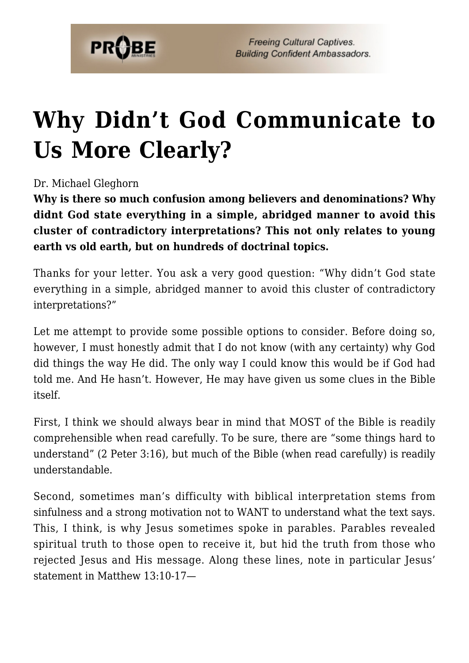

**Freeing Cultural Captives. Building Confident Ambassadors.** 

## **[Why Didn't God Communicate to](https://probe.org/why-didnt-god-communicate-to-us-more-clearly/) [Us More Clearly?](https://probe.org/why-didnt-god-communicate-to-us-more-clearly/)**

Dr. Michael Gleghorn

**Why is there so much confusion among believers and denominations? Why didnt God state everything in a simple, abridged manner to avoid this cluster of contradictory interpretations? This not only relates to young earth vs old earth, but on hundreds of doctrinal topics.**

Thanks for your letter. You ask a very good question: "Why didn't God state everything in a simple, abridged manner to avoid this cluster of contradictory interpretations?"

Let me attempt to provide some possible options to consider. Before doing so, however, I must honestly admit that I do not know (with any certainty) why God did things the way He did. The only way I could know this would be if God had told me. And He hasn't. However, He may have given us some clues in the Bible itself.

First, I think we should always bear in mind that MOST of the Bible is readily comprehensible when read carefully. To be sure, there are "some things hard to understand" (2 Peter 3:16), but much of the Bible (when read carefully) is readily understandable.

Second, sometimes man's difficulty with biblical interpretation stems from sinfulness and a strong motivation not to WANT to understand what the text says. This, I think, is why Jesus sometimes spoke in parables. Parables revealed spiritual truth to those open to receive it, but hid the truth from those who rejected Jesus and His message. Along these lines, note in particular Jesus' statement in Matthew 13:10-17—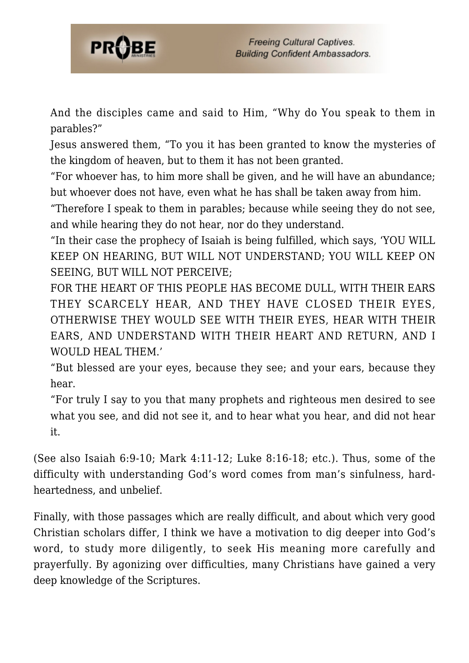

And the disciples came and said to Him, "Why do You speak to them in parables?"

Jesus answered them, "To you it has been granted to know the mysteries of the kingdom of heaven, but to them it has not been granted.

"For whoever has, to him more shall be given, and he will have an abundance; but whoever does not have, even what he has shall be taken away from him.

"Therefore I speak to them in parables; because while seeing they do not see, and while hearing they do not hear, nor do they understand.

"In their case the prophecy of Isaiah is being fulfilled, which says, 'YOU WILL KEEP ON HEARING, BUT WILL NOT UNDERSTAND; YOU WILL KEEP ON SEEING, BUT WILL NOT PERCEIVE;

FOR THE HEART OF THIS PEOPLE HAS BECOME DULL, WITH THEIR EARS THEY SCARCELY HEAR, AND THEY HAVE CLOSED THEIR EYES, OTHERWISE THEY WOULD SEE WITH THEIR EYES, HEAR WITH THEIR EARS, AND UNDERSTAND WITH THEIR HEART AND RETURN, AND I WOULD HEAL THEM.'

"But blessed are your eyes, because they see; and your ears, because they hear.

"For truly I say to you that many prophets and righteous men desired to see what you see, and did not see it, and to hear what you hear, and did not hear it.

(See also Isaiah 6:9-10; Mark 4:11-12; Luke 8:16-18; etc.). Thus, some of the difficulty with understanding God's word comes from man's sinfulness, hardheartedness, and unbelief.

Finally, with those passages which are really difficult, and about which very good Christian scholars differ, I think we have a motivation to dig deeper into God's word, to study more diligently, to seek His meaning more carefully and prayerfully. By agonizing over difficulties, many Christians have gained a very deep knowledge of the Scriptures.